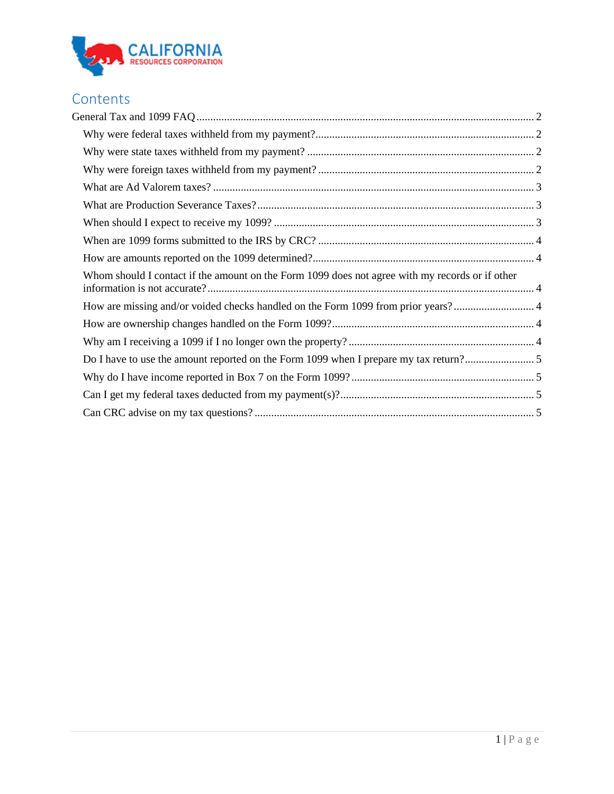

# **Contents**

<span id="page-0-0"></span>

| Whom should I contact if the amount on the Form 1099 does not agree with my records or if other |  |
|-------------------------------------------------------------------------------------------------|--|
|                                                                                                 |  |
|                                                                                                 |  |
|                                                                                                 |  |
|                                                                                                 |  |
|                                                                                                 |  |
|                                                                                                 |  |
|                                                                                                 |  |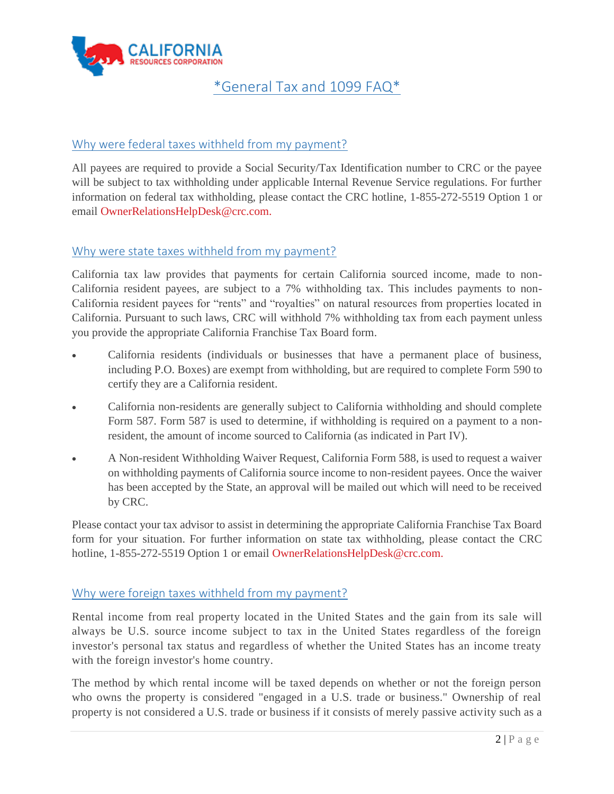

## \*General Tax and 1099 FAQ\*

## <span id="page-1-0"></span>Why were federal taxes withheld from my payment?

All payees are required to provide a Social Security/Tax Identification number to CRC or the payee will be subject to tax withholding under applicable Internal Revenue Service regulations. For further information on federal tax withholding, please contact the CRC hotline, 1-855-272-5519 Option 1 or email [OwnerRelationsHelpDesk@crc.com.](mailto:OwnerRelationsHelpDesk@crc.com.)

## <span id="page-1-1"></span>Why were state taxes withheld from my payment?

California tax law provides that payments for certain California sourced income, made to non-California resident payees, are subject to a 7% withholding tax. This includes payments to non-California resident payees for "rents" and "royalties" on natural resources from properties located in California. Pursuant to such laws, CRC will withhold 7% withholding tax from each payment unless you provide the appropriate California Franchise Tax Board form.

- California residents (individuals or businesses that have a permanent place of business, including P.O. Boxes) are exempt from withholding, but are required to complete Form 590 to certify they are a California resident.
- California non-residents are generally subject to California withholding and should complete Form 587. Form 587 is used to determine, if withholding is required on a payment to a nonresident, the amount of income sourced to California (as indicated in Part IV).
- A Non-resident Withholding Waiver Request, California Form 588, is used to request a waiver on withholding payments of California source income to non-resident payees. Once the waiver has been accepted by the State, an approval will be mailed out which will need to be received by CRC.

Please contact your tax advisor to assist in determining the appropriate California Franchise Tax Board form for your situation. For further information on state tax withholding, please contact the CRC hotline, 1-855-272-5519 Option 1 or email [OwnerRelationsHelpDesk@crc.com.](mailto:OwnerRelationsHelpDesk@crc.com.)

#### <span id="page-1-2"></span>Why were foreign taxes withheld from my payment?

Rental income from real property located in the United States and the gain from its sale will always be U.S. source income subject to tax in the United States regardless of the foreign investor's personal tax status and regardless of whether the United States has an income treaty with the foreign investor's home country.

The method by which rental income will be taxed depends on whether or not the foreign person who owns the property is considered "engaged in a U.S. trade or business." Ownership of real property is not considered a U.S. trade or business if it consists of merely passive activity such as a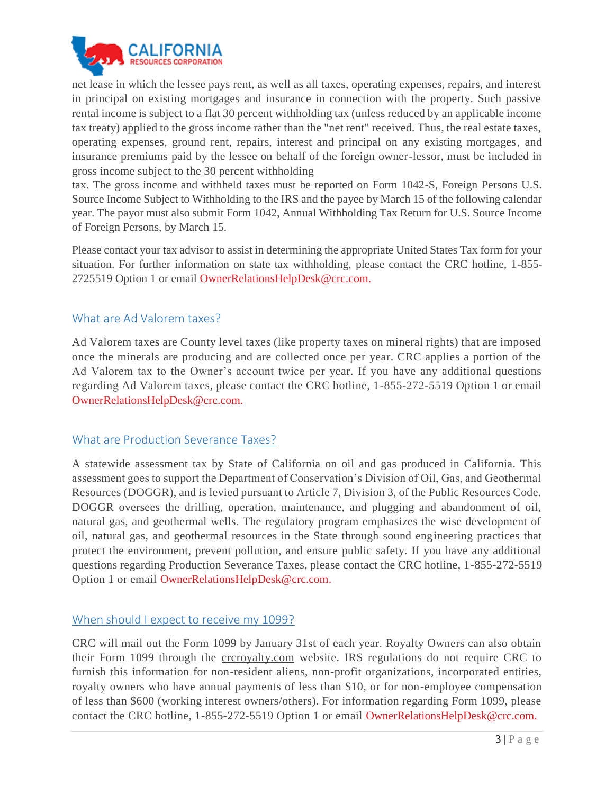

net lease in which the lessee pays rent, as well as all taxes, operating expenses, repairs, and interest in principal on existing mortgages and insurance in connection with the property. Such passive rental income is subject to a flat 30 percent withholding tax (unless reduced by an applicable income tax treaty) applied to the gross income rather than the "net rent" received. Thus, the real estate taxes, operating expenses, ground rent, repairs, interest and principal on any existing mortgages, and insurance premiums paid by the lessee on behalf of the foreign owner-lessor, must be included in gross income subject to the 30 percent withholding

tax. The gross income and withheld taxes must be reported on Form 1042-S, Foreign Persons U.S. Source Income Subject to Withholding to the IRS and the payee by March 15 of the following calendar year. The payor must also submit Form 1042, Annual Withholding Tax Return for U.S. Source Income of Foreign Persons, by March 15.

Please contact your tax advisor to assist in determining the appropriate United States Tax form for your situation. For further information on state tax withholding, please contact the CRC hotline, 1-855- 2725519 Option 1 or email [OwnerRelationsHelpDesk@crc.com.](mailto:OwnerRelationsHelpDesk@crc.com.)

#### <span id="page-2-0"></span>What are Ad Valorem taxes?

Ad Valorem taxes are County level taxes (like property taxes on mineral rights) that are imposed once the minerals are producing and are collected once per year. CRC applies a portion of the Ad Valorem tax to the Owner's account twice per year. If you have any additional questions regarding Ad Valorem taxes, please contact the CRC hotline, 1-855-272-5519 Option 1 or email [OwnerRelationsHelpDesk@crc.com.](mailto:OwnerRelationsHelpDesk@crc.com.)

#### <span id="page-2-1"></span>What are Production Severance Taxes?

A statewide assessment tax by State of California on oil and gas produced in California. This assessment goes to support the Department of Conservation's Division of Oil, Gas, and Geothermal Resources (DOGGR), and is levied pursuant to Article 7, Division 3, of the Public Resources Code. DOGGR oversees the drilling, operation, maintenance, and plugging and abandonment of oil, natural gas, and geothermal wells. The regulatory program emphasizes the wise development of oil, natural gas, and geothermal resources in the State through sound engineering practices that protect the environment, prevent pollution, and ensure public safety. If you have any additional questions regarding Production Severance Taxes, please contact the CRC hotline, 1-855-272-5519 Option 1 or email [OwnerRelationsHelpDesk@crc.com.](mailto:OwnerRelationsHelpDesk@crc.com.)

#### <span id="page-2-2"></span>When should I expect to receive my 1099?

CRC will mail out the Form 1099 by January 31st of each year. Royalty Owners can also obtain their Form 1099 through the [crcroyalty.com](http://crcroyalty.com/) website. IRS regulations do not require CRC to furnish this information for non-resident aliens, non-profit organizations, incorporated entities, royalty owners who have annual payments of less than \$10, or for non-employee compensation of less than \$600 (working interest owners/others). For information regarding Form 1099, please contact the CRC hotline, 1-855-272-5519 Option 1 or email [OwnerRelationsHelpDesk@crc.com.](mailto:OwnerRelationsHelpDesk@crc.com.)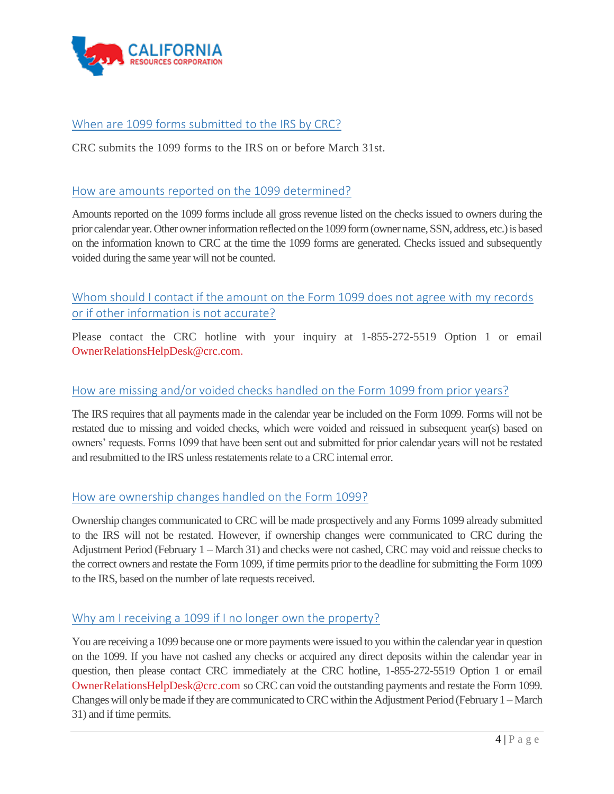

## <span id="page-3-0"></span>When are 1099 forms submitted to the IRS by CRC?

CRC submits the 1099 forms to the IRS on or before March 31st.

#### <span id="page-3-1"></span>How are amounts reported on the 1099 determined?

Amounts reported on the 1099 forms include all gross revenue listed on the checks issued to owners during the prior calendar year. Other owner information reflected on the 1099 form (owner name, SSN, address, etc.) is based on the information known to CRC at the time the 1099 forms are generated. Checks issued and subsequently voided during the same year will not be counted.

## <span id="page-3-2"></span>Whom should I contact if the amount on the Form 1099 does not agree with my records or if other information is not accurate?

Please contact the CRC hotline with your inquiry at 1-855-272-5519 Option 1 or email [OwnerRelationsHelpDesk@crc.com.](mailto:OwnerRelationsHelpDesk@crc.com.)

#### <span id="page-3-3"></span>How are missing and/or voided checks handled on the Form 1099 from prior years?

The IRS requires that all payments made in the calendar year be included on the Form 1099. Forms will not be restated due to missing and voided checks, which were voided and reissued in subsequent year(s) based on owners' requests. Forms 1099 that have been sent out and submitted for prior calendar years will not be restated and resubmitted to the IRS unless restatements relate to a CRC internal error.

#### <span id="page-3-4"></span>How are ownership changes handled on the Form 1099?

Ownership changes communicated to CRC will be made prospectively and any Forms 1099 already submitted to the IRS will not be restated. However, if ownership changes were communicated to CRC during the Adjustment Period (February 1 – March 31) and checks were not cashed, CRC may void and reissue checks to the correct owners and restate the Form 1099, if time permits prior to the deadline for submitting the Form 1099 to the IRS, based on the number of late requests received.

#### <span id="page-3-5"></span>Why am I receiving a 1099 if I no longer own the property?

You are receiving a 1099 because one or more payments were issued to you within the calendar year in question on the 1099. If you have not cashed any checks or acquired any direct deposits within the calendar year in question, then please contact CRC immediately at the CRC hotline, 1-855-272-5519 Option 1 or email [OwnerRelationsHelpDesk@crc.com](mailto:OwnerRelationsHelpDesk@crc.com.) so CRC can void the outstanding payments and restate the Form 1099. Changes will only be made if they are communicated to CRC within the Adjustment Period (February 1 –March 31) and if time permits.